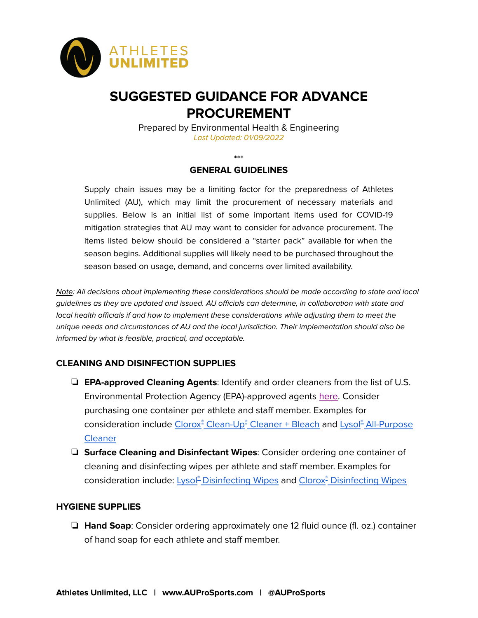

# **SUGGESTED GUIDANCE FOR ADVANCE PROCUREMENT**

Prepared by Environmental Health & Engineering Last Updated: 01/09/2022

\*\*\*

#### **GENERAL GUIDELINES**

Supply chain issues may be a limiting factor for the preparedness of Athletes Unlimited (AU), which may limit the procurement of necessary materials and supplies. Below is an initial list of some important items used for COVID-19 mitigation strategies that AU may want to consider for advance procurement. The items listed below should be considered a "starter pack" available for when the season begins. Additional supplies will likely need to be purchased throughout the season based on usage, demand, and concerns over limited availability.

Note: All decisions about implementing these considerations should be made according to state and local guidelines as they are updated and issued. AU officials can determine, in collaboration with state and local health officials if and how to implement these considerations while adjusting them to meet the unique needs and circumstances of AU and the local jurisdiction. Their implementation should also be informed by what is feasible, practical, and acceptable.

## **CLEANING AND DISINFECTION SUPPLIES**

- ❏ **EPA-approved Cleaning Agents**: Identify and order cleaners from the list of U.S. Environmental Protection Agency (EPA)-approved agents [here.](https://www.epa.gov/pesticide-registration/list-n-disinfectants-use-against-sars-cov-2) Consider purchasing one container per athlete and staff member. Examples for consideration include Clorox<sup>e</sup> [Clean-Up](https://www.clorox.com/products/clorox-clean-up-cleaner-bleach/original/)<sup>e</sup> Cleaner + Bleach and Lysol<sup>e</sup> [All-Purpose](https://www.lysol.com/products/multi-purpose-cleaners/lysol-all-purpose-cleaner-lemon-breeze/) **[Cleaner](https://www.lysol.com/products/multi-purpose-cleaners/lysol-all-purpose-cleaner-lemon-breeze/)**
- ❏ **Surface Cleaning and Disinfectant Wipes**: Consider ordering one container of cleaning and disinfecting wipes per athlete and staff member. Examples for consideration include: Lysol<sup>®</sup> [Disinfecting](https://www.clorox.com/products/clorox-disinfecting-wipes/crisp-lemon/) Wipes and Clorox® Disinfecting Wipes

#### **HYGIENE SUPPLIES**

❏ **Hand Soap**: Consider ordering approximately one 12 fluid ounce (fl. oz.) container of hand soap for each athlete and staff member.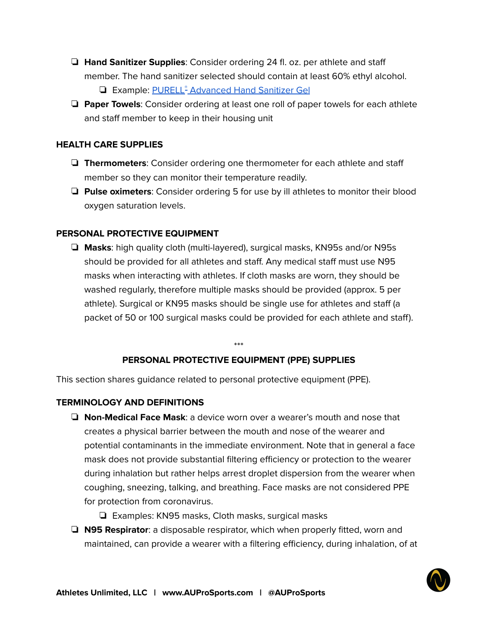- ❏ **Hand Sanitizer Supplies**: Consider ordering 24 fl. oz. per athlete and staff member. The hand sanitizer selected should contain at least 60% ethyl alcohol. □ Example: PURELL<sup>®</sup> [Advanced](https://www.gojo.com/en/Product/3659-12) Hand Sanitizer Gel
- ❏ **Paper Towels**: Consider ordering at least one roll of paper towels for each athlete and staff member to keep in their housing unit

### **HEALTH CARE SUPPLIES**

- ❏ **Thermometers**: Consider ordering one thermometer for each athlete and staff member so they can monitor their temperature readily.
- ❏ **Pulse oximeters**: Consider ordering 5 for use by ill athletes to monitor their blood oxygen saturation levels.

## **PERSONAL PROTECTIVE EQUIPMENT**

❏ **Masks**: high quality cloth (multi-layered), surgical masks, KN95s and/or N95s should be provided for all athletes and staff. Any medical staff must use N95 masks when interacting with athletes. If cloth masks are worn, they should be washed regularly, therefore multiple masks should be provided (approx. 5 per athlete). Surgical or KN95 masks should be single use for athletes and staff (a packet of 50 or 100 surgical masks could be provided for each athlete and staff).

#### \*\*\*

#### **PERSONAL PROTECTIVE EQUIPMENT (PPE) SUPPLIES**

This section shares guidance related to personal protective equipment (PPE).

#### **TERMINOLOGY AND DEFINITIONS**

- ❏ **Non-Medical Face Mask**: a device worn over a wearer's mouth and nose that creates a physical barrier between the mouth and nose of the wearer and potential contaminants in the immediate environment. Note that in general a face mask does not provide substantial filtering efficiency or protection to the wearer during inhalation but rather helps arrest droplet dispersion from the wearer when coughing, sneezing, talking, and breathing. Face masks are not considered PPE for protection from coronavirus.
	- ❏ Examples: KN95 masks, Cloth masks, surgical masks
- ❏ **N95 Respirator**: a disposable respirator, which when properly fitted, worn and maintained, can provide a wearer with a filtering efficiency, during inhalation, of at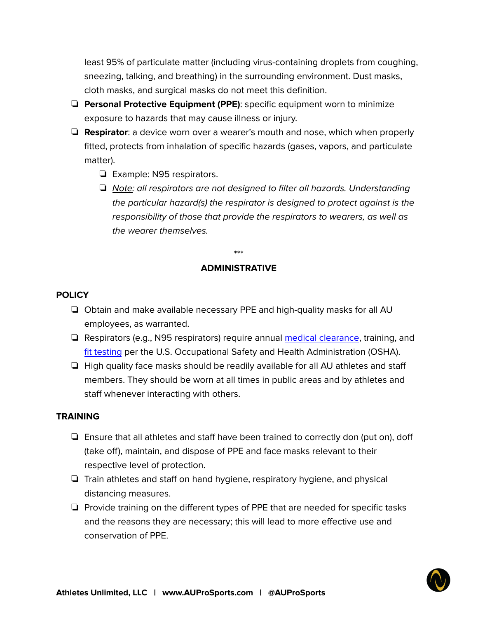least 95% of particulate matter (including virus-containing droplets from coughing, sneezing, talking, and breathing) in the surrounding environment. Dust masks, cloth masks, and surgical masks do not meet this definition.

- ❏ **Personal Protective Equipment (PPE)**: specific equipment worn to minimize exposure to hazards that may cause illness or injury.
- ❏ **Respirator**: a device worn over a wearer's mouth and nose, which when properly fitted, protects from inhalation of specific hazards (gases, vapors, and particulate matter).
	- ❏ Example: N95 respirators.
	- ❏ Note: all respirators are not designed to filter all hazards. Understanding the particular hazard(s) the respirator is designed to protect against is the responsibility of those that provide the respirators to wearers, as well as the wearer themselves.

\*\*\*

## **ADMINISTRATIVE**

#### **POLICY**

- ❏ Obtain and make available necessary PPE and high-quality masks for all AU employees, as warranted.
- ❏ Respirators (e.g., N95 respirators) require annual medical [clearance](https://www.osha.gov/video/respiratory_protection/medevaluations_transcript.html), training, an[d](https://www.osha.gov/laws-regs/regulations/standardnumber/1910/1910.134AppA) fit [testing](https://www.osha.gov/laws-regs/regulations/standardnumber/1910/1910.134AppA) per the U.S. Occupational Safety and Health Administration (OSHA).
- ❏ High quality face masks should be readily available for all AU athletes and staff members. They should be worn at all times in public areas and by athletes and staff whenever interacting with others.

#### **TRAINING**

- ❏ Ensure that all athletes and staff have been trained to correctly don (put on), doff (take off), maintain, and dispose of PPE and face masks relevant to their respective level of protection.
- ❏ Train athletes and staff on hand hygiene, respiratory hygiene, and physical distancing measures.
- ❏ Provide training on the different types of PPE that are needed for specific tasks and the reasons they are necessary; this will lead to more effective use and conservation of PPE.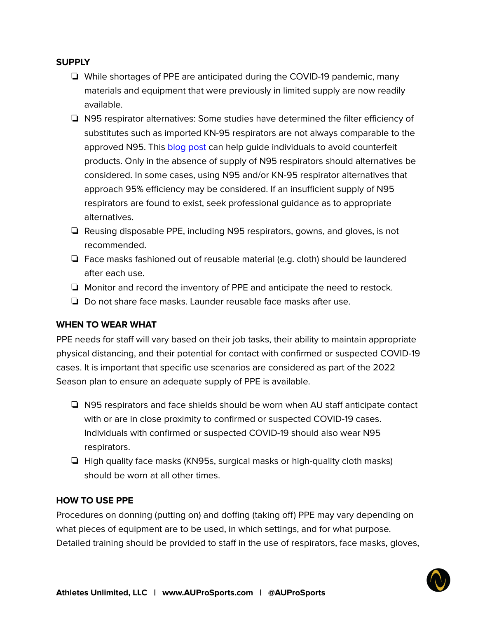## **SUPPLY**

- ❏ While shortages of PPE are anticipated during the COVID-19 pandemic, many materials and equipment that were previously in limited supply are now readily available.
- ❏ N95 respirator alternatives: Some studies have determined the filter efficiency of substitutes such as imported KN-95 respirators are not always comparable to the approved N95. This [blog](https://eheinc.com/blog/how-to-know-if-an-n95-respirator-is-real-or-counterfeit/) post can help guide individuals to avoid counterfeit products. Only in the absence of supply of N95 respirators should alternatives be considered. In some cases, using N95 and/or KN-95 respirator alternatives that approach 95% efficiency may be considered. If an insufficient supply of N95 respirators are found to exist, seek professional guidance as to appropriate alternatives.
- ❏ Reusing disposable PPE, including N95 respirators, gowns, and gloves, is not recommended.
- ❏ Face masks fashioned out of reusable material (e.g. cloth) should be laundered after each use.
- ❏ Monitor and record the inventory of PPE and anticipate the need to restock.
- ❏ Do not share face masks. Launder reusable face masks after use.

## **WHEN TO WEAR WHAT**

PPE needs for staff will vary based on their job tasks, their ability to maintain appropriate physical distancing, and their potential for contact with confirmed or suspected COVID-19 cases. It is important that specific use scenarios are considered as part of the 2022 Season plan to ensure an adequate supply of PPE is available.

- ❏ N95 respirators and face shields should be worn when AU staff anticipate contact with or are in close proximity to confirmed or suspected COVID-19 cases. Individuals with confirmed or suspected COVID-19 should also wear N95 respirators.
- ❏ High quality face masks (KN95s, surgical masks or high-quality cloth masks) should be worn at all other times.

#### **HOW TO USE PPE**

Procedures on donning (putting on) and doffing (taking off) PPE may vary depending on what pieces of equipment are to be used, in which settings, and for what purpose. Detailed training should be provided to staff in the use of respirators, face masks, gloves,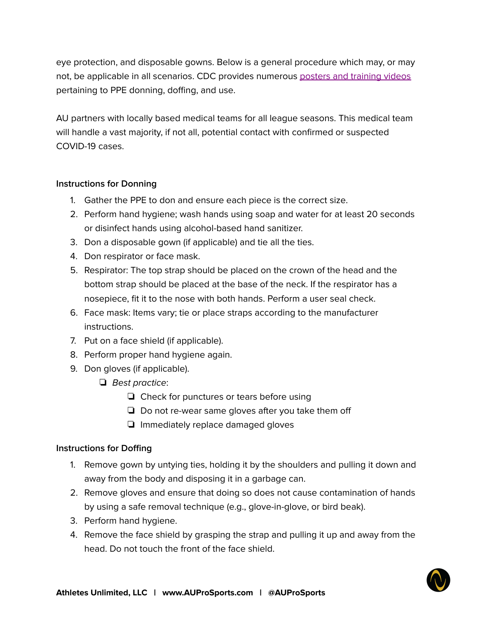eye protection, and disposable gowns. Below is a general procedure which may, or may not, be applicable in all scenarios. CDC provides numerous posters and [training](https://www.cdc.gov/coronavirus/2019-ncov/hcp/using-ppe.html) videos pertaining to PPE donning, doffing, and use.

AU partners with locally based medical teams for all league seasons. This medical team will handle a vast majority, if not all, potential contact with confirmed or suspected COVID-19 cases.

## **Instructions for Donning**

- 1. Gather the PPE to don and ensure each piece is the correct size.
- 2. Perform hand hygiene; wash hands using soap and water for at least 20 seconds or disinfect hands using alcohol-based hand sanitizer.
- 3. Don a disposable gown (if applicable) and tie all the ties.
- 4. Don respirator or face mask.
- 5. Respirator: The top strap should be placed on the crown of the head and the bottom strap should be placed at the base of the neck. If the respirator has a nosepiece, fit it to the nose with both hands. Perform a user seal check.
- 6. Face mask: Items vary; tie or place straps according to the manufacturer instructions.
- 7. Put on a face shield (if applicable).
- 8. Perform proper hand hygiene again.
- 9. Don gloves (if applicable).
	- ❏ Best practice:
		- ❏ Check for punctures or tears before using
		- ❏ Do not re-wear same gloves after you take them off
		- ❏ Immediately replace damaged gloves

## **Instructions for Doffing**

- 1. Remove gown by untying ties, holding it by the shoulders and pulling it down and away from the body and disposing it in a garbage can.
- 2. Remove gloves and ensure that doing so does not cause contamination of hands by using a safe removal technique (e.g., glove-in-glove, or bird beak).
- 3. Perform hand hygiene.
- 4. Remove the face shield by grasping the strap and pulling it up and away from the head. Do not touch the front of the face shield.